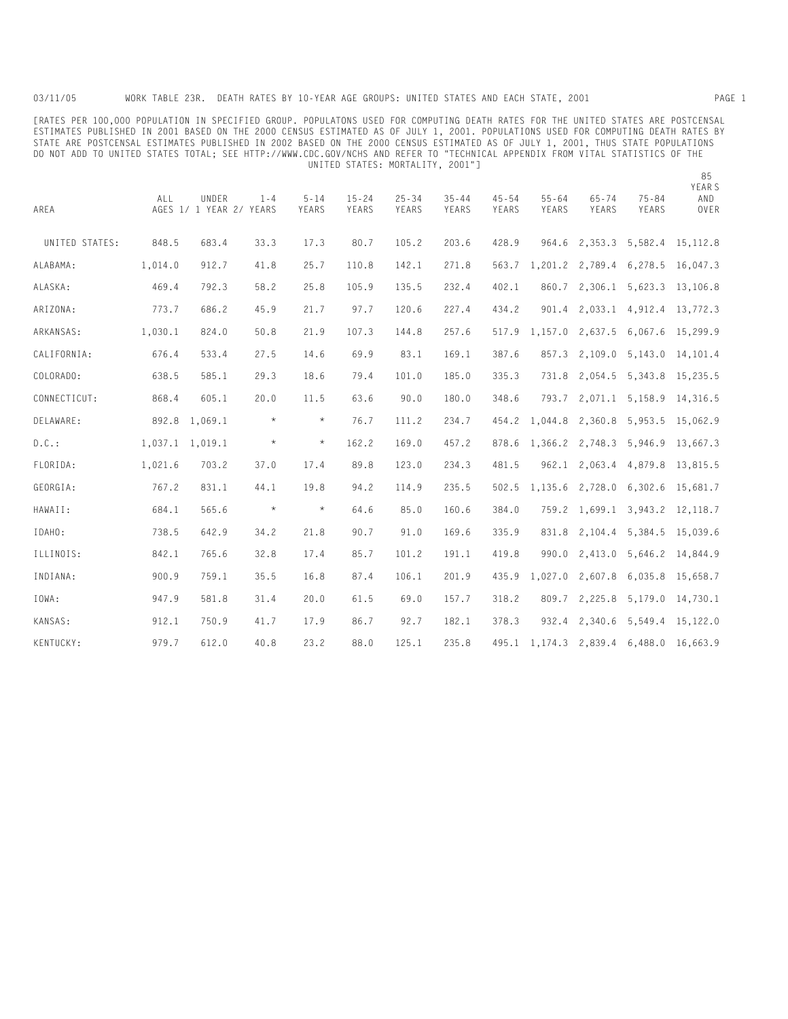03/11/05 WORK TABLE 23R. DEATH RATES BY 10-YEAR AGE GROUPS: UNITED STATES AND EACH STATE, 2001 PAGE 1

[RATES PER 100,000 POPULATION IN SPECIFIED GROUP. POPULATONS USED FOR COMPUTING DEATH RATES FOR THE UNITED STATES ARE POSTCENSAL ESTIMATES PUBLISHED IN 2001 BASED ON THE 2000 CENSUS ESTIMATED AS OF JULY 1, 2001. POPULATIONS USED FOR COMPUTING DEATH RATES BY STATE ARE POSTCENSAL ESTIMATES PUBLISHED IN 2002 BASED ON THE 2000 CENSUS ESTIMATED AS OF JULY 1, 2001, THUS STATE POPULATIONS DO NOT ADD TO UNITED STATES TOTAL; SEE HTTP://WWW.CDC.GOV/NCHS AND REFER TO "TECHNICAL APPENDIX FROM VITAL STATISTICS OF THE UNITED STATES: MORTALITY, 2001"]

| AREA           | ALL             | UNDER<br>AGES 1/ 1 YEAR 2/ YEARS | $1 - 4$ | $5 - 14$<br>YEARS | $15 - 24$<br>YEARS | $25 - 34$<br>YEARS | $35 - 44$<br>YEARS | $45 - 54$<br>YEARS | $55 - 64$<br>YEARS | $65 - 74$<br>YEARS            | $75 - 84$<br>YEARS | YEAR S<br>AND<br>OVER |
|----------------|-----------------|----------------------------------|---------|-------------------|--------------------|--------------------|--------------------|--------------------|--------------------|-------------------------------|--------------------|-----------------------|
| UNITED STATES: | 848.5           | 683.4                            | 33.3    | 17.3              | 80.7               | 105.2              | 203.6              | 428.9              | 964.6              |                               | 2,353.3 5,582.4    | 15, 112.8             |
| ALABAMA:       | 1,014.0         | 912.7                            | 41.8    | 25.7              | 110.8              | 142.1              | 271.8              | 563.7              |                    | 1,201.2 2,789.4 6,278.5       |                    | 16,047.3              |
| ALASKA:        | 469.4           | 792.3                            | 58.2    | 25.8              | 105.9              | 135.5              | 232.4              | 402.1              | 860.7              |                               | 2,306.1 5,623.3    | 13,106.8              |
| ARIZONA:       | 773.7           | 686.2                            | 45.9    | 21.7              | 97.7               | 120.6              | 227.4              | 434.2              | 901.4              |                               | 2,033.1 4,912.4    | 13,772.3              |
| ARKANSAS:      | 1,030.1         | 824.0                            | 50.8    | 21.9              | 107.3              | 144.8              | 257.6              | 517.9              | 1,157.0            |                               | 2,637.5 6,067.6    | 15,299.9              |
| CALIFORNIA:    | 676.4           | 533.4                            | 27.5    | 14.6              | 69.9               | 83.1               | 169.1              | 387.6              | 857.3              |                               | $2,109.0$ 5, 143.0 | 14,101.4              |
| COLORADO:      | 638.5           | 585.1                            | 29.3    | 18.6              | 79.4               | 101.0              | 185.0              | 335.3              | 731.8              |                               | 2,054.5 5,343.8    | 15,235.5              |
| CONNECTICUT:   | 868.4           | 605.1                            | 20.0    | 11.5              | 63.6               | 90.0               | 180.0              | 348.6              | 793.7              | 2,071.1                       | 5,158.9            | 14,316.5              |
| DELAWARE:      | 892.8           | 1,069.1                          | $\star$ | $\star$           | 76.7               | 111.2              | 234.7              | 454.2              | 1,044.8            | 2,360.8 5,953.5               |                    | 15,062.9              |
| $D.C.$ :       | 1,037.1 1,019.1 |                                  | $\star$ | $\star$           | 162.2              | 169.0              | 457.2              | 878.6              | 1,366.2            | 2,748.3 5,946.9               |                    | 13,667.3              |
| FLORIDA:       | 1,021.6         | 703.2                            | 37.0    | 17.4              | 89.8               | 123.0              | 234.3              | 481.5              | 962.1              |                               | 2,063.4 4,879.8    | 13,815.5              |
| GEORGIA:       | 767.2           | 831.1                            | 44.1    | 19.8              | 94.2               | 114.9              | 235.5              | 502.5              | 1,135.6            |                               | 2,728.0 6,302.6    | 15,681.7              |
| HAWAII:        | 684.1           | 565.6                            | $\star$ | $\star$           | 64.6               | 85.0               | 160.6              | 384.0              | 759.2              | 1,699.1 3,943.2               |                    | 12, 118.7             |
| IDAHO:         | 738.5           | 642.9                            | 34.2    | 21.8              | 90.7               | 91.0               | 169.6              | 335.9              | 831.8              |                               | 2,104.4 5,384.5    | 15,039.6              |
| ILLINOIS:      | 842.1           | 765.6                            | 32.8    | 17.4              | 85.7               | 101.2              | 191.1              | 419.8              | 990.0              |                               | $2,413.0$ 5,646.2  | 14,844.9              |
| INDIANA:       | 900.9           | 759.1                            | 35.5    | 16.8              | 87.4               | 106.1              | 201.9              | 435.9              | 1,027.0            |                               | 2,607.8 6,035.8    | 15,658.7              |
| IOWA:          | 947.9           | 581.8                            | 31.4    | 20.0              | 61.5               | 69.0               | 157.7              | 318.2              | 809.7              |                               | 2,225.8 5,179.0    | 14,730.1              |
| KANSAS:        | 912.1           | 750.9                            | 41.7    | 17.9              | 86.7               | 92.7               | 182.1              | 378.3              | 932.4              | 2,340.6                       | 5,549.4            | 15,122.0              |
| KENTUCKY:      | 979.7           | 612.0                            | 40.8    | 23.2              | 88.0               | 125.1              | 235.8              |                    |                    | 495.1 1,174.3 2,839.4 6,488.0 |                    | 16,663.9              |

85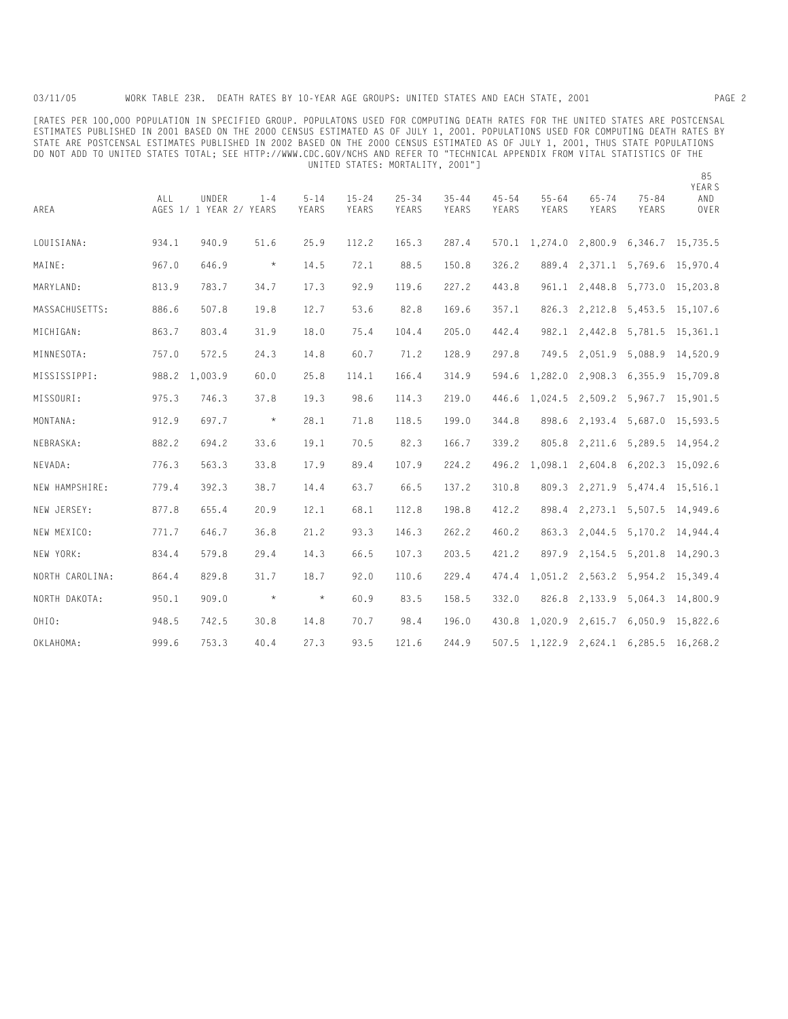[RATES PER 100,000 POPULATION IN SPECIFIED GROUP. POPULATONS USED FOR COMPUTING DEATH RATES FOR THE UNITED STATES ARE POSTCENSAL ESTIMATES PUBLISHED IN 2001 BASED ON THE 2000 CENSUS ESTIMATED AS OF JULY 1, 2001. POPULATIONS USED FOR COMPUTING DEATH RATES BY STATE ARE POSTCENSAL ESTIMATES PUBLISHED IN 2002 BASED ON THE 2000 CENSUS ESTIMATED AS OF JULY 1, 2001, THUS STATE POPULATIONS DO NOT ADD TO UNITED STATES TOTAL; SEE HTTP://WWW.CDC.GOV/NCHS AND REFER TO "TECHNICAL APPENDIX FROM VITAL STATISTICS OF THE UNITED STATES: MORTALITY, 2001"]

| AREA            | <b>ALL</b> | UNDER<br>AGES 1/ 1 YEAR 2/ YEARS | $1 - 4$ | $5 - 14$<br>YEARS | $15 - 24$<br>YEARS | $25 - 34$<br>YEARS | $35 - 44$<br>YEARS | $45 - 54$<br>YEARS | $55 - 64$<br>YEARS            | $65 - 74$<br>YEARS | $75 - 84$<br>YEARS | YEAR S<br>AND<br>OVER |
|-----------------|------------|----------------------------------|---------|-------------------|--------------------|--------------------|--------------------|--------------------|-------------------------------|--------------------|--------------------|-----------------------|
| LOUISIANA:      | 934.1      | 940.9                            | 51.6    | 25.9              | 112.2              | 165.3              | 287.4              |                    | 570.1 1,274.0                 |                    | 2,800.9 6,346.7    | 15,735.5              |
| MAINE:          | 967.0      | 646.9                            | $\star$ | 14.5              | 72.1               | 88.5               | 150.8              | 326.2              | 889.4                         | 2,371.1            | 5,769.6            | 15,970.4              |
| MARYLAND:       | 813.9      | 783.7                            | 34.7    | 17.3              | 92.9               | 119.6              | 227.2              | 443.8              | 961.1                         | 2,448.8            | 5,773.0            | 15,203.8              |
| MASSACHUSETTS:  | 886.6      | 507.8                            | 19.8    | 12.7              | 53.6               | 82.8               | 169.6              | 357.1              | 826.3                         |                    | 2,212.8 5,453.5    | 15,107.6              |
| MICHIGAN:       | 863.7      | 803.4                            | 31.9    | 18.0              | 75.4               | 104.4              | 205.0              | 442.4              | 982.1                         |                    | 2,442.8 5,781.5    | 15,361.1              |
| MINNESOTA:      | 757.0      | 572.5                            | 24.3    | 14.8              | 60.7               | 71.2               | 128.9              | 297.8              | 749.5                         | 2,051.9            | 5,088.9            | 14,520.9              |
| MISSISSIPPI:    | 988.2      | 1,003.9                          | 60.0    | 25.8              | 114.1              | 166.4              | 314.9              | 594.6              | 1,282.0                       | 2,908.3 6,355.9    |                    | 15,709.8              |
| MISSOURI:       | 975.3      | 746.3                            | 37.8    | 19.3              | 98.6               | 114.3              | 219.0              | 446.6              | 1,024.5                       |                    | 2,509.2 5,967.7    | 15,901.5              |
| MONTANA:        | 912.9      | 697.7                            | $\star$ | 28.1              | 71.8               | 118.5              | 199.0              | 344.8              | 898.6                         |                    | 2,193.4 5,687.0    | 15,593.5              |
| NEBRASKA:       | 882.2      | 694.2                            | 33.6    | 19.1              | 70.5               | 82.3               | 166.7              | 339.2              | 805.8                         |                    | 2,211.6 5,289.5    | 14,954.2              |
| NEVADA:         | 776.3      | 563.3                            | 33.8    | 17.9              | 89.4               | 107.9              | 224.2              |                    | 496.2 1,098.1                 |                    | 2,604.8 6,202.3    | 15,092.6              |
| NEW HAMPSHIRE:  | 779.4      | 392.3                            | 38.7    | 14.4              | 63.7               | 66.5               | 137.2              | 310.8              | 809.3                         | 2,271.9            | 5,474.4            | 15,516.1              |
| NEW JERSEY:     | 877.8      | 655.4                            | 20.9    | 12.1              | 68.1               | 112.8              | 198.8              | 412.2              | 898.4                         | 2,273.1            | 5,507.5            | 14,949.6              |
| NEW MEXICO:     | 771.7      | 646.7                            | 36.8    | 21.2              | 93.3               | 146.3              | 262.2              | 460.2              | 863.3                         |                    | 2,044.5 5,170.2    | 14,944.4              |
| NEW YORK:       | 834.4      | 579.8                            | 29.4    | 14.3              | 66.5               | 107.3              | 203.5              | 421.2              | 897.9                         |                    | 2, 154.5 5, 201.8  | 14,290.3              |
| NORTH CAROLINA: | 864.4      | 829.8                            | 31.7    | 18.7              | 92.0               | 110.6              | 229.4              | 474.4              | 1,051.2                       |                    | 2,563.2 5,954.2    | 15.349.4              |
| NORTH DAKOTA:   | 950.1      | 909.0                            | $\star$ | $\star$           | 60.9               | 83.5               | 158.5              | 332.0              | 826.8                         | 2,133.9            | 5,064.3            | 14,800.9              |
| OHIO:           | 948.5      | 742.5                            | 30.8    | 14.8              | 70.7               | 98.4               | 196.0              | 430.8              | 1,020.9                       | 2,615.7            | 6,050.9            | 15,822.6              |
| OKLAHOMA:       | 999.6      | 753.3                            | 40.4    | 27.3              | 93.5               | 121.6              | 244.9              |                    | 507.5 1,122.9 2,624.1 6,285.5 |                    |                    | 16.268.2              |

85